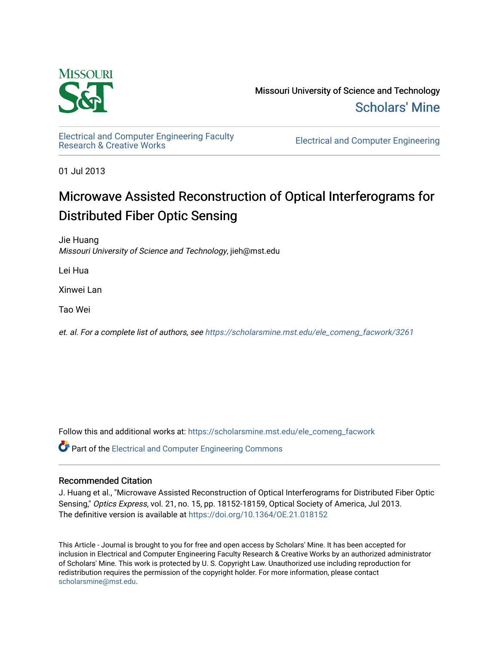

Missouri University of Science and Technology [Scholars' Mine](https://scholarsmine.mst.edu/) 

[Electrical and Computer Engineering Faculty](https://scholarsmine.mst.edu/ele_comeng_facwork)

**Electrical and Computer Engineering** 

01 Jul 2013

# Microwave Assisted Reconstruction of Optical Interferograms for Distributed Fiber Optic Sensing

Jie Huang Missouri University of Science and Technology, jieh@mst.edu

Lei Hua

Xinwei Lan

Tao Wei

et. al. For a complete list of authors, see [https://scholarsmine.mst.edu/ele\\_comeng\\_facwork/3261](https://scholarsmine.mst.edu/ele_comeng_facwork/3261) 

Follow this and additional works at: [https://scholarsmine.mst.edu/ele\\_comeng\\_facwork](https://scholarsmine.mst.edu/ele_comeng_facwork?utm_source=scholarsmine.mst.edu%2Fele_comeng_facwork%2F3261&utm_medium=PDF&utm_campaign=PDFCoverPages)

**C** Part of the Electrical and Computer Engineering Commons

## Recommended Citation

J. Huang et al., "Microwave Assisted Reconstruction of Optical Interferograms for Distributed Fiber Optic Sensing," Optics Express, vol. 21, no. 15, pp. 18152-18159, Optical Society of America, Jul 2013. The definitive version is available at <https://doi.org/10.1364/OE.21.018152>

This Article - Journal is brought to you for free and open access by Scholars' Mine. It has been accepted for inclusion in Electrical and Computer Engineering Faculty Research & Creative Works by an authorized administrator of Scholars' Mine. This work is protected by U. S. Copyright Law. Unauthorized use including reproduction for redistribution requires the permission of the copyright holder. For more information, please contact [scholarsmine@mst.edu.](mailto:scholarsmine@mst.edu)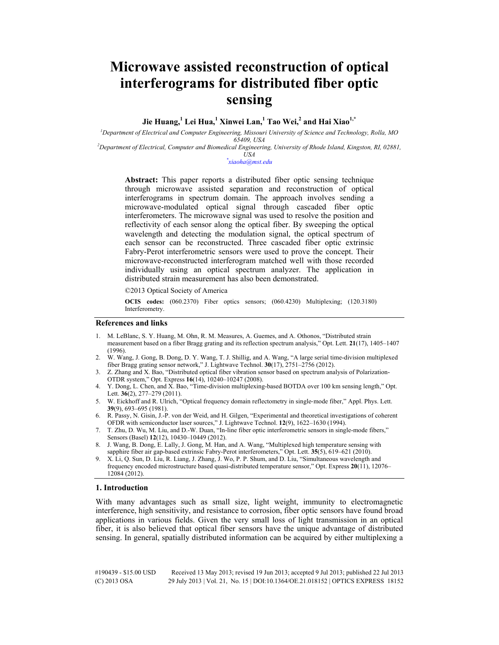## **Microwave assisted reconstruction of optical interferograms for distributed fiber optic sensing**

### **Jie Huang,<sup>1</sup> Lei Hua,<sup>1</sup> Xinwei Lan,1 Tao Wei,<sup>2</sup> and Hai Xiao1,\***

*1 Department of Electrical and Computer Engineering, Missouri University of Science and Technology, Rolla, MO 65409, USA 2 Department of Electrical, Computer and Biomedical Engineering, University of Rhode Island, Kingston, RI, 02881,* 

## *USA \* xiaoha@mst.edu*

**Abstract:** This paper reports a distributed fiber optic sensing technique through microwave assisted separation and reconstruction of optical interferograms in spectrum domain. The approach involves sending a microwave-modulated optical signal through cascaded fiber optic interferometers. The microwave signal was used to resolve the position and reflectivity of each sensor along the optical fiber. By sweeping the optical wavelength and detecting the modulation signal, the optical spectrum of each sensor can be reconstructed. Three cascaded fiber optic extrinsic Fabry-Perot interferometric sensors were used to prove the concept. Their microwave-reconstructed interferogram matched well with those recorded individually using an optical spectrum analyzer. The application in distributed strain measurement has also been demonstrated.

©2013 Optical Society of America

**OCIS codes:** (060.2370) Fiber optics sensors; (060.4230) Multiplexing; (120.3180) Interferometry.

#### **References and links**

- 1. M. LeBlanc, S. Y. Huang, M. Ohn, R. M. Measures, A. Guemes, and A. Othonos, "Distributed strain measurement based on a fiber Bragg grating and its reflection spectrum analysis," Opt. Lett. **21**(17), 1405–1407 (1996).
- 2. W. Wang, J. Gong, B. Dong, D. Y. Wang, T. J. Shillig, and A. Wang, "A large serial time-division multiplexed fiber Bragg grating sensor network," J. Lightwave Technol. **30**(17), 2751–2756 (2012).
- 3. Z. Zhang and X. Bao, "Distributed optical fiber vibration sensor based on spectrum analysis of Polarization-OTDR system," Opt. Express **16**(14), 10240–10247 (2008).
- 4. Y. Dong, L. Chen, and X. Bao, "Time-division multiplexing-based BOTDA over 100 km sensing length," Opt. Lett. **36**(2), 277–279 (2011).
- 5. W. Eickhoff and R. Ulrich, "Optical frequency domain reflectometry in single-mode fiber," Appl. Phys. Lett. **39**(9), 693–695 (1981).
- 6. R. Passy, N. Gisin, J.-P. von der Weid, and H. Gilgen, "Experimental and theoretical investigations of coherent OFDR with semiconductor laser sources," J. Lightwave Technol. **12**(9), 1622–1630 (1994).
- 7. T. Zhu, D. Wu, M. Liu, and D.-W. Duan, "In-line fiber optic interferometric sensors in single-mode fibers," Sensors (Basel) **12**(12), 10430–10449 (2012).
- 8. J. Wang, B. Dong, E. Lally, J. Gong, M. Han, and A. Wang, "Multiplexed high temperature sensing with sapphire fiber air gap-based extrinsic Fabry-Perot interferometers," Opt. Lett. **35**(5), 619–621 (2010).
- 9. X. Li, Q. Sun, D. Liu, R. Liang, J. Zhang, J. Wo, P. P. Shum, and D. Liu, "Simultaneous wavelength and frequency encoded microstructure based quasi-distributed temperature sensor," Opt. Express **20**(11), 12076– 12084 (2012).

#### **1. Introduction**

With many advantages such as small size, light weight, immunity to electromagnetic interference, high sensitivity, and resistance to corrosion, fiber optic sensors have found broad applications in various fields. Given the very small loss of light transmission in an optical fiber, it is also believed that optical fiber sensors have the unique advantage of distributed sensing. In general, spatially distributed information can be acquired by either multiplexing a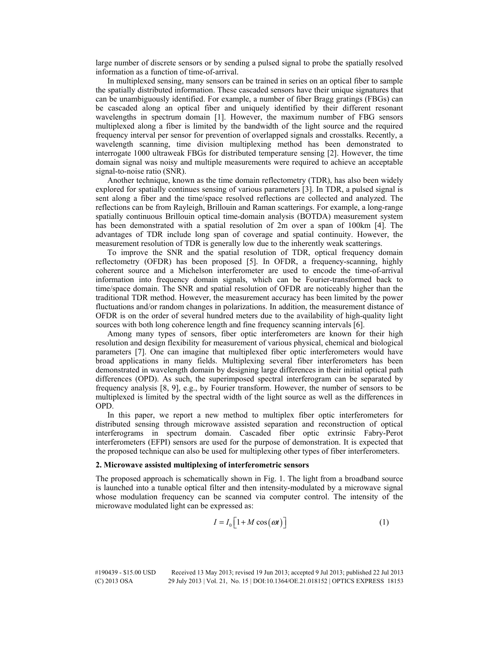large number of discrete sensors or by sending a pulsed signal to probe the spatially resolved information as a function of time-of-arrival.

In multiplexed sensing, many sensors can be trained in series on an optical fiber to sample the spatially distributed information. These cascaded sensors have their unique signatures that can be unambiguously identified. For example, a number of fiber Bragg gratings (FBGs) can be cascaded along an optical fiber and uniquely identified by their different resonant wavelengths in spectrum domain [1]. However, the maximum number of FBG sensors multiplexed along a fiber is limited by the bandwidth of the light source and the required frequency interval per sensor for prevention of overlapped signals and crosstalks. Recently, a wavelength scanning, time division multiplexing method has been demonstrated to interrogate 1000 ultraweak FBGs for distributed temperature sensing [2]. However, the time domain signal was noisy and multiple measurements were required to achieve an acceptable signal-to-noise ratio (SNR).

Another technique, known as the time domain reflectometry (TDR), has also been widely explored for spatially continues sensing of various parameters [3]. In TDR, a pulsed signal is sent along a fiber and the time/space resolved reflections are collected and analyzed. The reflections can be from Rayleigh, Brillouin and Raman scatterings. For example, a long-range spatially continuous Brillouin optical time-domain analysis (BOTDA) measurement system has been demonstrated with a spatial resolution of 2m over a span of 100km [4]. The advantages of TDR include long span of coverage and spatial continuity. However, the measurement resolution of TDR is generally low due to the inherently weak scatterings.

To improve the SNR and the spatial resolution of TDR, optical frequency domain reflectometry (OFDR) has been proposed [5]. In OFDR, a frequency-scanning, highly coherent source and a Michelson interferometer are used to encode the time-of-arrival information into frequency domain signals, which can be Fourier-transformed back to time/space domain. The SNR and spatial resolution of OFDR are noticeably higher than the traditional TDR method. However, the measurement accuracy has been limited by the power fluctuations and/or random changes in polarizations. In addition, the measurement distance of OFDR is on the order of several hundred meters due to the availability of high-quality light sources with both long coherence length and fine frequency scanning intervals [6].

Among many types of sensors, fiber optic interferometers are known for their high resolution and design flexibility for measurement of various physical, chemical and biological parameters [7]. One can imagine that multiplexed fiber optic interferometers would have broad applications in many fields. Multiplexing several fiber interferometers has been demonstrated in wavelength domain by designing large differences in their initial optical path differences (OPD). As such, the superimposed spectral interferogram can be separated by frequency analysis [8, 9], e.g., by Fourier transform. However, the number of sensors to be multiplexed is limited by the spectral width of the light source as well as the differences in OPD.

In this paper, we report a new method to multiplex fiber optic interferometers for distributed sensing through microwave assisted separation and reconstruction of optical interferograms in spectrum domain. Cascaded fiber optic extrinsic Fabry-Perot interferometers (EFPI) sensors are used for the purpose of demonstration. It is expected that the proposed technique can also be used for multiplexing other types of fiber interferometers.

#### **2. Microwave assisted multiplexing of interferometric sensors**

The proposed approach is schematically shown in Fig. 1. The light from a broadband source is launched into a tunable optical filter and then intensity-modulated by a microwave signal whose modulation frequency can be scanned via computer control. The intensity of the microwave modulated light can be expressed as:

$$
I = I_0 \left[ 1 + M \cos(\omega t) \right] \tag{1}
$$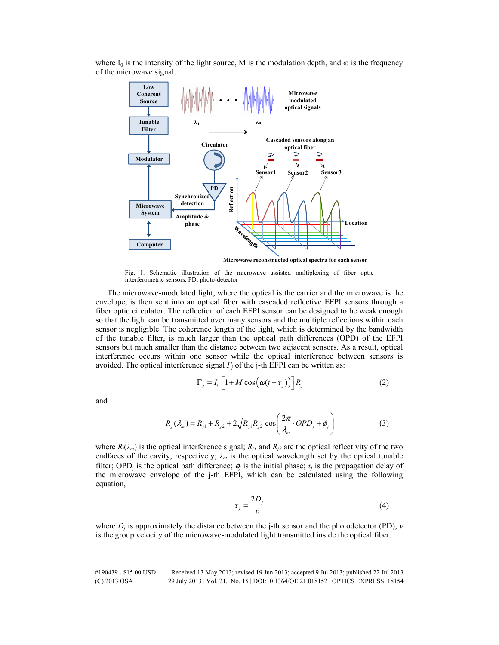where  $I_0$  is the intensity of the light source, M is the modulation depth, and  $\omega$  is the frequency of the microwave signal.



Fig. 1. Schematic illustration of the microwave assisted multiplexing of fiber optic interferometric sensors. PD: photo-detector

The microwave-modulated light, where the optical is the carrier and the microwave is the envelope, is then sent into an optical fiber with cascaded reflective EFPI sensors through a fiber optic circulator. The reflection of each EFPI sensor can be designed to be weak enough so that the light can be transmitted over many sensors and the multiple reflections within each sensor is negligible. The coherence length of the light, which is determined by the bandwidth of the tunable filter, is much larger than the optical path differences (OPD) of the EFPI sensors but much smaller than the distance between two adjacent sensors. As a result, optical interference occurs within one sensor while the optical interference between sensors is avoided. The optical interference signal  $\Gamma$ *<sub>i</sub>* of the *j*-th EFPI can be written as:

$$
\Gamma_j = I_0 \left[ 1 + M \cos \left( \omega (t + \tau_j) \right) \right] R_j \tag{2}
$$

and

$$
R_j(\lambda_m) = R_{j1} + R_{j2} + 2\sqrt{R_{j1}R_{j2}}\cos\left(\frac{2\pi}{\lambda_m} \cdot OPD_j + \phi_j\right)
$$
 (3)

where  $R_i(\lambda_m)$  is the optical interference signal;  $R_{i1}$  and  $R_{i2}$  are the optical reflectivity of the two endfaces of the cavity, respectively;  $\lambda_m$  is the optical wavelength set by the optical tunable filter; OPD<sub>i</sub> is the optical path difference;  $\phi_i$  is the initial phase;  $\tau_i$  is the propagation delay of the microwave envelope of the j-th EFPI, which can be calculated using the following equation,

$$
\tau_j = \frac{2D_j}{v} \tag{4}
$$

where  $D_i$  is approximately the distance between the j-th sensor and the photodetector (PD),  $v$ is the group velocity of the microwave-modulated light transmitted inside the optical fiber.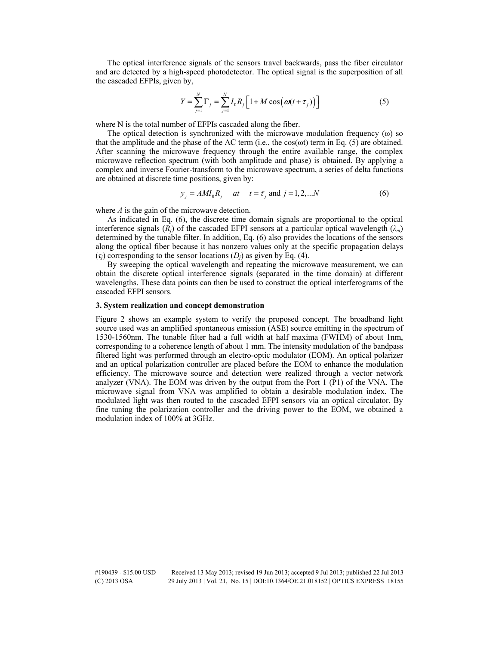The optical interference signals of the sensors travel backwards, pass the fiber circulator and are detected by a high-speed photodetector. The optical signal is the superposition of all the cascaded EFPIs, given by,

$$
Y = \sum_{j=1}^{N} \Gamma_j = \sum_{j=1}^{N} I_0 R_j \left[ 1 + M \cos \left( \omega (t + \tau_j) \right) \right]
$$
 (5)

where N is the total number of EFPIs cascaded along the fiber.

The optical detection is synchronized with the microwave modulation frequency (ω) so that the amplitude and the phase of the AC term (i.e., the  $cos(\omega t)$  term in Eq. (5) are obtained. After scanning the microwave frequency through the entire available range, the complex microwave reflection spectrum (with both amplitude and phase) is obtained. By applying a complex and inverse Fourier-transform to the microwave spectrum, a series of delta functions are obtained at discrete time positions, given by:

$$
y_i = AMI_0R_i
$$
 at  $t = \tau_i$  and  $j = 1, 2, ...N$  (6)

where *A* is the gain of the microwave detection.

As indicated in Eq. (6), the discrete time domain signals are proportional to the optical interference signals  $(R<sub>i</sub>)$  of the cascaded EFPI sensors at a particular optical wavelength  $(\lambda<sub>m</sub>)$ determined by the tunable filter. In addition, Eq. (6) also provides the locations of the sensors along the optical fiber because it has nonzero values only at the specific propagation delays  $(\tau_i)$  corresponding to the sensor locations  $(D_i)$  as given by Eq. (4).

By sweeping the optical wavelength and repeating the microwave measurement, we can obtain the discrete optical interference signals (separated in the time domain) at different wavelengths. These data points can then be used to construct the optical interferograms of the cascaded EFPI sensors.

#### **3. System realization and concept demonstration**

Figure 2 shows an example system to verify the proposed concept. The broadband light source used was an amplified spontaneous emission (ASE) source emitting in the spectrum of 1530-1560nm. The tunable filter had a full width at half maxima (FWHM) of about 1nm, corresponding to a coherence length of about 1 mm. The intensity modulation of the bandpass filtered light was performed through an electro-optic modulator (EOM). An optical polarizer and an optical polarization controller are placed before the EOM to enhance the modulation efficiency. The microwave source and detection were realized through a vector network analyzer (VNA). The EOM was driven by the output from the Port 1 (P1) of the VNA. The microwave signal from VNA was amplified to obtain a desirable modulation index. The modulated light was then routed to the cascaded EFPI sensors via an optical circulator. By fine tuning the polarization controller and the driving power to the EOM, we obtained a modulation index of 100% at 3GHz.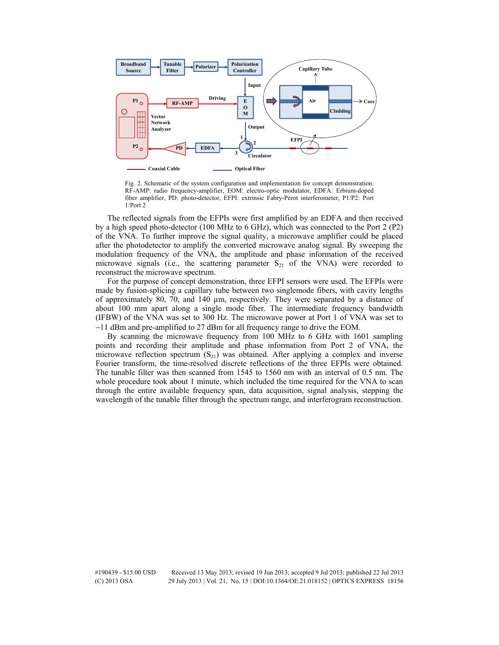

Fig. 2. Schematic of the system configuration and implementation for concept demonstration. RF-AMP: radio frequency-amplifier, EOM: electro-optic modulator, EDFA: Erbium-doped fiber amplifier, PD: photo-detector, EFPI: extrinsic Fabry-Perot interferometer, P1/P2: Port  $1/Port 2$ 

The reflected signals from the EFPIs were first amplified by an EDFA and then received by a high speed photo-detector (100 MHz to 6 GHz), which was connected to the Port 2 (P2) of the VNA. To further improve the signal quality, a microwave amplifier could be placed after the photodetector to amplify the converted microwave analog signal. By sweeping the modulation frequency of the VNA, the amplitude and phase information of the received microwave signals (i.e., the scattering parameter  $S_{21}$  of the VNA) were recorded to reconstruct the microwave spectrum.

For the purpose of concept demonstration, three EFPI sensors were used. The EFPIs were made by fusion-splicing a capillary tube between two singlemode fibers, with cavity lengths of approximately 80, 70, and 140  $\mu$ m, respectively. They were separated by a distance of about 100 mm apart along a single mode fiber. The intermediate frequency bandwidth (IFBW) of the VNA was set to 300 Hz. The microwave power at Port 1 of VNA was set to −11 dBm and pre-amplified to 27 dBm for all frequency range to drive the EOM.

By scanning the microwave frequency from 100 MHz to 6 GHz with 1601 sampling points and recording their amplitude and phase information from Port 2 of VNA, the microwave reflection spectrum  $(S_{21})$  was obtained. After applying a complex and inverse Fourier transform, the time-resolved discrete reflections of the three EFPIs were obtained. The tunable filter was then scanned from 1545 to 1560 nm with an interval of 0.5 nm. The whole procedure took about 1 minute, which included the time required for the VNA to scan through the entire available frequency span, data acquisition, signal analysis, stepping the wavelength of the tunable filter through the spectrum range, and interferogram reconstruction.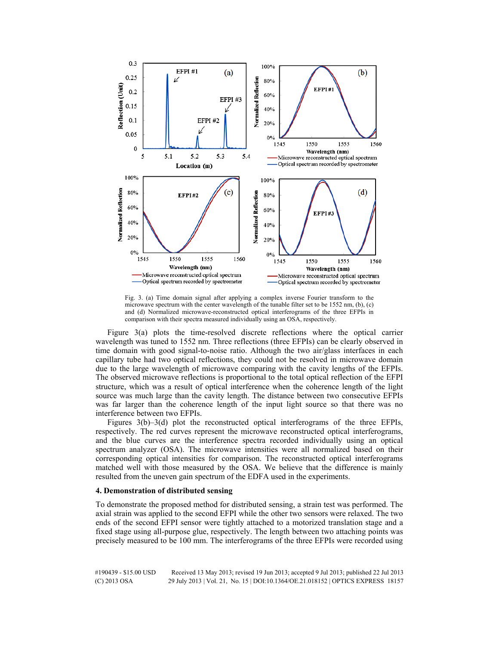

Fig. 3. (a) Time domain signal after applying a complex inverse Fourier transform to the microwave spectrum with the center wavelength of the tunable filter set to be 1552 nm, (b), (c) and (d) Normalized microwave-reconstructed optical interferograms of the three EFPIs in comparison with their spectra measured individually using an OSA, respectively.

Figure 3(a) plots the time-resolved discrete reflections where the optical carrier wavelength was tuned to 1552 nm. Three reflections (three EFPIs) can be clearly observed in time domain with good signal-to-noise ratio. Although the two air/glass interfaces in each capillary tube had two optical reflections, they could not be resolved in microwave domain due to the large wavelength of microwave comparing with the cavity lengths of the EFPIs. The observed microwave reflections is proportional to the total optical reflection of the EFPI structure, which was a result of optical interference when the coherence length of the light source was much large than the cavity length. The distance between two consecutive EFPIs was far larger than the coherence length of the input light source so that there was no interference between two EFPIs.

Figures 3(b)–3(d) plot the reconstructed optical interferograms of the three EFPIs, respectively. The red curves represent the microwave reconstructed optical interferograms, and the blue curves are the interference spectra recorded individually using an optical spectrum analyzer (OSA). The microwave intensities were all normalized based on their corresponding optical intensities for comparison. The reconstructed optical interferograms matched well with those measured by the OSA. We believe that the difference is mainly resulted from the uneven gain spectrum of the EDFA used in the experiments.

#### **4. Demonstration of distributed sensing**

To demonstrate the proposed method for distributed sensing, a strain test was performed. The axial strain was applied to the second EFPI while the other two sensors were relaxed. The two ends of the second EFPI sensor were tightly attached to a motorized translation stage and a fixed stage using all-purpose glue, respectively. The length between two attaching points was precisely measured to be 100 mm. The interferograms of the three EFPIs were recorded using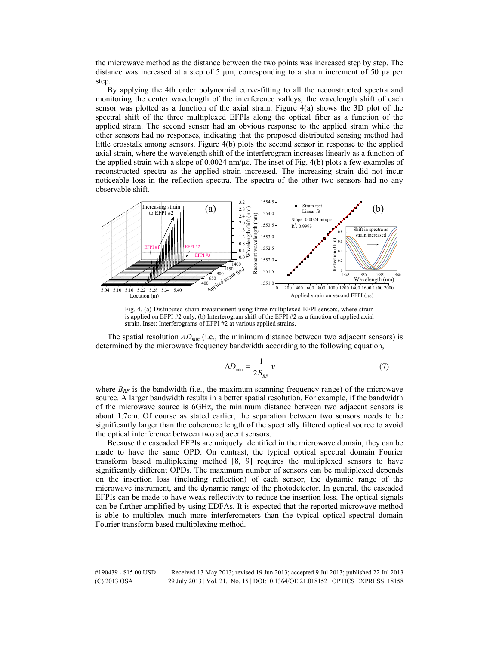the microwave method as the distance between the two points was increased step by step. The distance was increased at a step of 5  $\mu$ m, corresponding to a strain increment of 50  $\mu$ e per step.

By applying the 4th order polynomial curve-fitting to all the reconstructed spectra and monitoring the center wavelength of the interference valleys, the wavelength shift of each sensor was plotted as a function of the axial strain. Figure 4(a) shows the 3D plot of the spectral shift of the three multiplexed EFPIs along the optical fiber as a function of the applied strain. The second sensor had an obvious response to the applied strain while the other sensors had no responses, indicating that the proposed distributed sensing method had little crosstalk among sensors. Figure 4(b) plots the second sensor in response to the applied axial strain, where the wavelength shift of the interferogram increases linearly as a function of the applied strain with a slope of  $0.0024$  nm/ $\mu$ e. The inset of Fig. 4(b) plots a few examples of reconstructed spectra as the applied strain increased. The increasing strain did not incur noticeable loss in the reflection spectra. The spectra of the other two sensors had no any observable shift.



Fig. 4. (a) Distributed strain measurement using three multiplexed EFPI sensors, where strain is applied on EFPI #2 only, (b) Interferogram shift of the EFPI #2 as a function of applied axial strain. Inset: Interferograms of EFPI #2 at various applied strains.

The spatial resolution *ΔDmin* (i.e., the minimum distance between two adjacent sensors) is determined by the microwave frequency bandwidth according to the following equation,

$$
\Delta D_{\min} = \frac{1}{2B_{RF}} \nu \tag{7}
$$

where  $B_{RF}$  is the bandwidth (i.e., the maximum scanning frequency range) of the microwave source. A larger bandwidth results in a better spatial resolution. For example, if the bandwidth of the microwave source is 6GHz, the minimum distance between two adjacent sensors is about 1.7cm. Of course as stated earlier, the separation between two sensors needs to be significantly larger than the coherence length of the spectrally filtered optical source to avoid the optical interference between two adjacent sensors.

Because the cascaded EFPIs are uniquely identified in the microwave domain, they can be made to have the same OPD. On contrast, the typical optical spectral domain Fourier transform based multiplexing method [8, 9] requires the multiplexed sensors to have significantly different OPDs. The maximum number of sensors can be multiplexed depends on the insertion loss (including reflection) of each sensor, the dynamic range of the microwave instrument, and the dynamic range of the photodetector. In general, the cascaded EFPIs can be made to have weak reflectivity to reduce the insertion loss. The optical signals can be further amplified by using EDFAs. It is expected that the reported microwave method is able to multiplex much more interferometers than the typical optical spectral domain Fourier transform based multiplexing method.